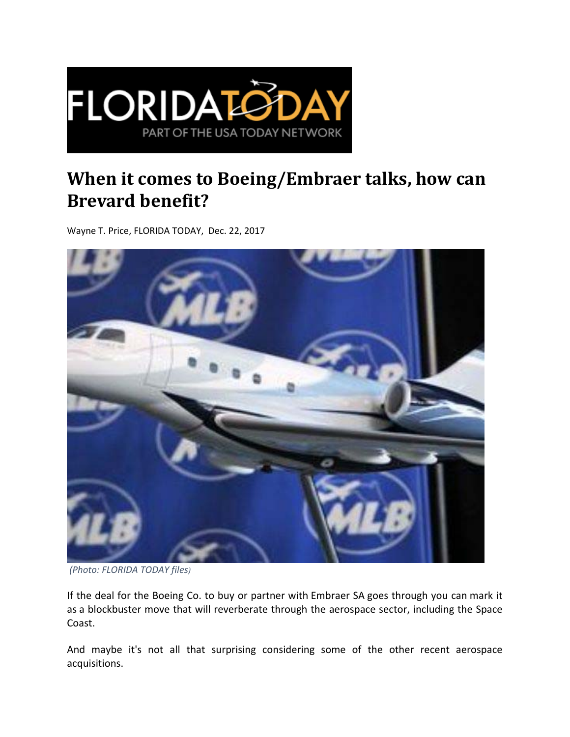

## **When it comes to Boeing/Embraer talks, how can Brevard benefit?**

Wayne T. Price, FLORIDA TODAY, Dec. 22, 2017



*(Photo: FLORIDA TODAY files)*

If the deal for the Boeing Co. to buy or partner with Embraer SA goes through you can mark it as a blockbuster move that will reverberate through the aerospace sector, including the Space Coast.

And maybe it's not all that surprising considering some of the other recent aerospace acquisitions.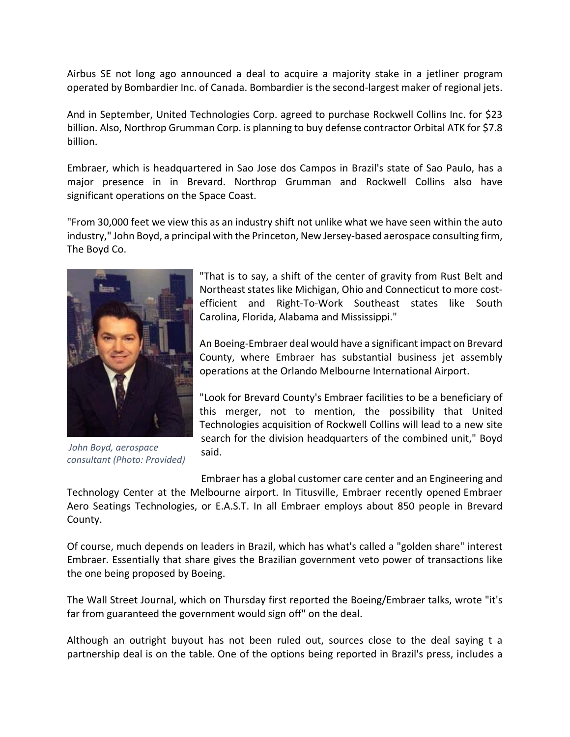Airbus SE not long ago announced a deal to acquire a majority stake in a jetliner program operated by Bombardier Inc. of Canada. Bombardier is the second‐largest maker of regional jets.

And in September, United Technologies Corp. agreed to purchase Rockwell Collins Inc. for \$23 billion. Also, Northrop Grumman Corp. is planning to buy defense contractor Orbital ATK for \$7.8 billion.

Embraer, which is headquartered in Sao Jose dos Campos in Brazil's state of Sao Paulo, has a major presence in in Brevard. Northrop Grumman and Rockwell Collins also have significant operations on the Space Coast.

"From 30,000 feet we view this as an industry shift not unlike what we have seen within the auto industry," John Boyd, a principal with the Princeton, New Jersey‐based aerospace consulting firm, The Boyd Co.



*John Boyd, aerospace consultant (Photo: Provided)*

"That is to say, a shift of the center of gravity from Rust Belt and Northeast states like Michigan, Ohio and Connecticut to more cost‐ efficient and Right‐To‐Work Southeast states like South Carolina, Florida, Alabama and Mississippi."

An Boeing‐Embraer deal would have a significant impact on Brevard County, where Embraer has substantial business jet assembly operations at the Orlando Melbourne International Airport.

"Look for Brevard County's Embraer facilities to be a beneficiary of this merger, not to mention, the possibility that United Technologies acquisition of Rockwell Collins will lead to a new site search for the division headquarters of the combined unit," Boyd said.

Embraer has a global customer care center and an Engineering and Technology Center at the Melbourne airport. In Titusville, Embraer recently opened Embraer Aero Seatings Technologies, or E.A.S.T. In all Embraer employs about 850 people in Brevard County.

Of course, much depends on leaders in Brazil, which has what's called a "golden share" interest Embraer. Essentially that share gives the Brazilian government veto power of transactions like the one being proposed by Boeing.

The Wall Street Journal, which on Thursday first reported the Boeing/Embraer talks, wrote "it's far from guaranteed the government would sign off" on the deal.

Although an outright buyout has not been ruled out, sources close to the deal saying t a partnership deal is on the table. One of the options being reported in Brazil's press, includes a